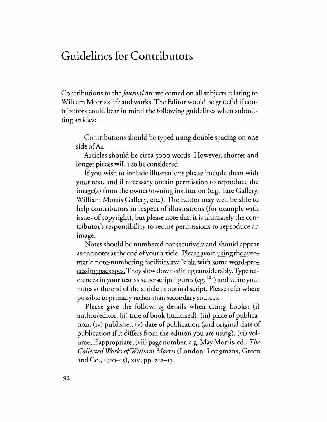## **Guidelines for Contributors**

Contributions to the *Journal* are welcomed on all subjects relating to William Morris's life and works. The Editor would be grateful if contributors could bear in mind the following guidelines when submitting articles:

Contributions should be typed using double spacing on one side of A<sub>4</sub>.

Articles should be circa 5000 words. However, shorter and longer pieces will also be considered.

If you wish to include illustrations please include them with your text, and if necessary obtain permission to reproduce the image(s) from the owner/owning institution (e.g. Tate Gallery, William Morris Gallery, etc.). The Editor may well be able to help contributors in respect of illustrations (for example with issues of copyright), but please note that it is ultimately the contributor's responsibility to secure permissions to reproduce an image.

Notes should be numbered consecutively and should appear as endnotes at the end of your article. Please avoid using the automatic note-numbering facilities available with some word-processing packages. They slow down editing considerably. Type references in your text as superscript figures (eg. <sup>123</sup>) and write your notes at the end of the article in normal script. Please refer where possible to primary rather than secondary sources.

Please give the following details when citing books: (i) author/editor, (ii) title of book (italicised), (iii) place of publication, (iv) publisher, (v) date of publication (and original date of publication if it differs from the edition you are using), (vi) volume, if appropriate, (vii) page number. e.g. May Morris, ed., *The Collected Works ofWilliam Morris* (London: Longmans, Green and Co., 1910-15), XIV, pp. 212-13.